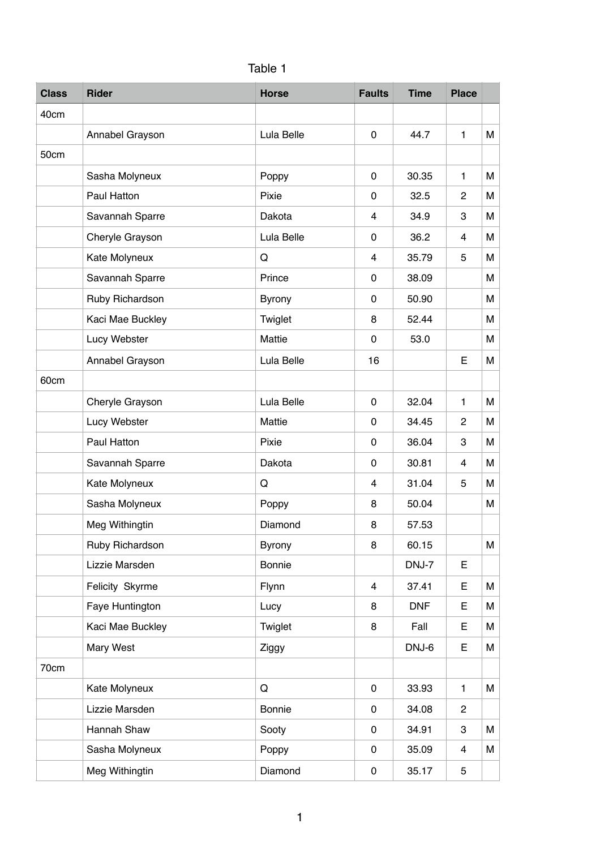| Table 1 |  |
|---------|--|

| <b>Class</b> | <b>Rider</b>     | <b>Horse</b>  | <b>Faults</b> | <b>Time</b> | <b>Place</b>   |   |
|--------------|------------------|---------------|---------------|-------------|----------------|---|
| 40cm         |                  |               |               |             |                |   |
|              | Annabel Grayson  | Lula Belle    | 0             | 44.7        | $\mathbf{1}$   | M |
| 50cm         |                  |               |               |             |                |   |
|              | Sasha Molyneux   | Poppy         | 0             | 30.35       | 1              | M |
|              | Paul Hatton      | Pixie         | 0             | 32.5        | $\mathbf{2}$   | M |
|              | Savannah Sparre  | Dakota        | 4             | 34.9        | 3              | M |
|              | Cheryle Grayson  | Lula Belle    | 0             | 36.2        | 4              | M |
|              | Kate Molyneux    | Q             | 4             | 35.79       | 5              | M |
|              | Savannah Sparre  | Prince        | 0             | 38.09       |                | M |
|              | Ruby Richardson  | <b>Byrony</b> | 0             | 50.90       |                | M |
|              | Kaci Mae Buckley | Twiglet       | 8             | 52.44       |                | M |
|              | Lucy Webster     | Mattie        | 0             | 53.0        |                | M |
|              | Annabel Grayson  | Lula Belle    | 16            |             | Е              | М |
| 60cm         |                  |               |               |             |                |   |
|              | Cheryle Grayson  | Lula Belle    | 0             | 32.04       | 1              | М |
|              | Lucy Webster     | Mattie        | 0             | 34.45       | $\overline{c}$ | M |
|              | Paul Hatton      | Pixie         | 0             | 36.04       | 3              | M |
|              | Savannah Sparre  | Dakota        | 0             | 30.81       | 4              | M |
|              | Kate Molyneux    | Q             | 4             | 31.04       | 5              | M |
|              | Sasha Molyneux   | Poppy         | 8             | 50.04       |                | M |
|              | Meg Withingtin   | Diamond       | 8             | 57.53       |                |   |
|              | Ruby Richardson  | <b>Byrony</b> | 8             | 60.15       |                | M |
|              | Lizzie Marsden   | Bonnie        |               | DNJ-7       | E              |   |
|              | Felicity Skyrme  | Flynn         | 4             | 37.41       | E              | M |
|              | Faye Huntington  | Lucy          | 8             | <b>DNF</b>  | Е              | М |
|              | Kaci Mae Buckley | Twiglet       | 8             | Fall        | E              | М |
|              | Mary West        | Ziggy         |               | DNJ-6       | E              | M |
| 70cm         |                  |               |               |             |                |   |
|              | Kate Molyneux    | Q             | $\pmb{0}$     | 33.93       | $\mathbf{1}$   | M |
|              | Lizzie Marsden   | Bonnie        | 0             | 34.08       | $\overline{c}$ |   |
|              | Hannah Shaw      | Sooty         | 0             | 34.91       | 3              | M |
|              | Sasha Molyneux   | Poppy         | 0             | 35.09       | 4              | М |
|              | Meg Withingtin   | Diamond       | 0             | 35.17       | 5              |   |